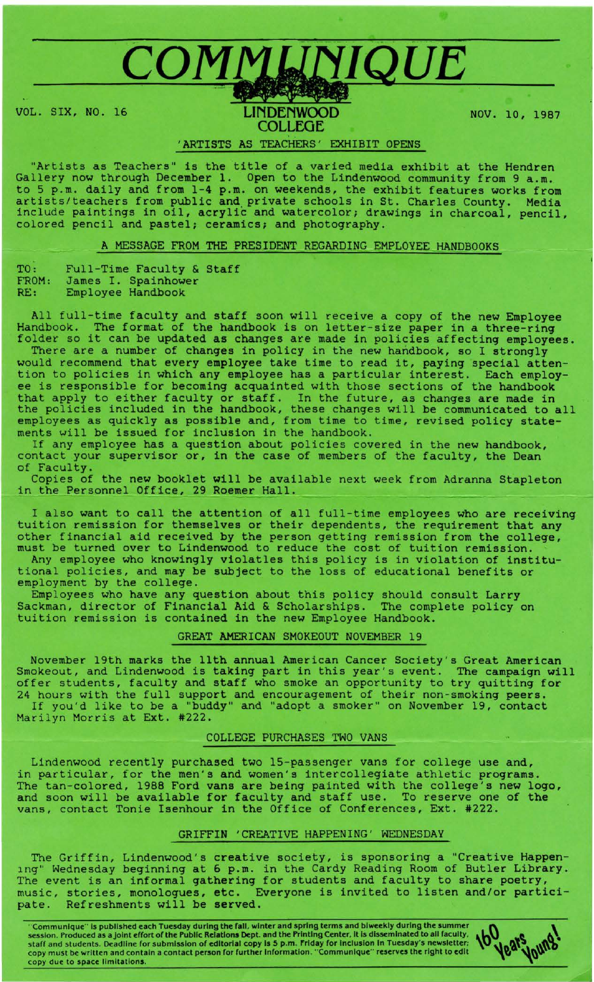# COMMUNIQUE VOL. SIX, NO. 16 **LINDENWOOD COLLEGE**

NOV. 10, 1987

## 'ARTISTS AS TEACHERS' EXHIBIT OPENS

"Artists as Teachers" is the title of a varied media exhibit at the Hendren Gallery now through December 1. Open to the Lindenwood community from 9 a.m. to 5 p.m. daily and from 1-4 p.m. on weekends, the exhibit features works from artists/teachers from public and. private schools in St. Charles County. Media include paintings in oil, acrylic and watercolor; drawings in charcoal, pencil, colored pencil and pastel; ceramics; and photography.

A MESSAGE FROM THE PRESIDENT REGARDING EMPLOYEE HANDBOOKS

| TO :  | Full-Time Faculty & Staff |                     |  |
|-------|---------------------------|---------------------|--|
| FROM: |                           | James I. Spainhower |  |
| RE:   | Employee Handbook         |                     |  |

All full-time faculty and staff soon will receive a copy of the new Employee Handbook. The format of the handbook is on letter-size paper in a three-ring folder so it can be updated as changes are made in policies affecting employees.

There are a number of changes in policy in the new handbook, so I strongly would recommend that every employee take time to read it, paying special attention to policies in which any employee has a particular interest. Each employee is responsible for becoming acquainted with those sections of the handbook that apply to either faculty or staff. In the future, as changes are made in the policies included in the handbook, these changes will be communicated to all employees as quickly as possible and, from time to time, revised policy statements will be issued for inclusion in the handbook.

If any employee has a question about policies covered in the new handbook, contact your supervisor or, in the case of members of the faculty, the Dean of Faculty.

Copies of the new booklet will be available next week from Adranna Stapleton in the Personnel Office, 29 Roemer Hall.

I also want to call the attention of all full-time employees who are receiving tuition remission for themselves or their dependents, the requirement that any other financial aid received by the person getting remission from the college, must be turned over to Lindenwood to reduce the cost of tuition remission.

Any employee who knowingly violatles this policy is in violation of institutional policies, and may be subject to the loss of educational benefits or employment by the college.

Employees who have any question about this policy should consult Larry Sackman, director of Financial Aid & Scholarships. The complete policy on tuition remission is contained in the new Employee Handbook.

GREAT AMERICAN SMOKE0UT NOVEMBER 19

November 19th marks the 11th annual American Cancer Society's Great American Smokeout, and Lindenwood is taking part in this year's event. The campaign will offer students, faculty and staff who smoke an opportunity to try quitting for 24 hours with the full support and encouragement of their non-smoking peers. If you'd like to be a "buddy" and "adopt a smoker" on November 19, contact

Marilyn Morris at Ext. #222.

## COLLEGE PURCHASES TWO VANS

Lindenwood recently purchased two 15-passenger vans for college use and, in particular, for the men's and women's intercollegiate athletic programs. The tan-colored, 1988 Ford vans are being painted with the college's new logo, and soon will be available for faculty and staff use. To reserve one of the vans, contact Tonie Isenhour in the Office of Conferences, Ext. #222.

### GRIFFIN 'CREATIVE HAPPENING' WEDNESDAY

The Griffin, Lindenwood's creative society, is sponsoring a "Creative Happening" Wednesday beginning at 6 p.m. in the Cardy Reading Room of Butler Library. The event is an informal gathering for students and faculty to share poetry, music, stories, monologues, etc. Everyone is invited to listen and/or partici-<br>pate. Refreshments will be served. Refreshments will be served.

" Communique" Is published each Tuesday during the fall, winter and spring terms and biweekly during the summer session. Produced as a joint effort of the Public Relations Dept. and the Printing Center, It Is disseminated to all faculty, staff and students. Deadline for submission of editorial copy is 5 p.m. Friday for inclusion in Tuesday's newsletter; copy must be written and contain a contact person for further Information. " Communique" reserves the right to edit copy due to space limitations.